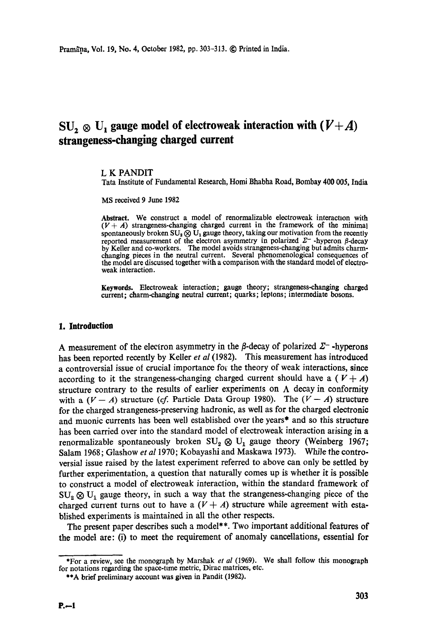# $\text{SU}_2 \otimes \text{U}_1$  gauge model of electroweak interaction with  $(V+A)$ **strangeness-changing charged current**

#### L K PANDIT

Tata Institute of Fundamental Research, Homi Bhabha Road, Bombay 400 005, India

MS received 9 June 1982

**Abstract.** We construct a model of renormalizable electroweak interaction with  $(V + A)$  strangeness-changing charged current in the framework of the minimal spontaneously broken  $SU_2 \otimes U_1$  gauge theory, taking our motivation from the recently reported measurement of the electron asymmetry in polarized  $\Sigma^-$ -hyperon  $\beta$ -decay by Keller and co-workers. The model avoids strangeness-changing but admits charmchanging pieces in the neutral current. Several phenomenological consequences of the model are discussed together with a comparison with the standard model of electroweak interaction.

**Keywords.** Electroweak interaction; gauge theory; strangeness-changing charged current; charm-changing neutral current; quarks; leptons; intermediate bosom.

## **1. Introduction**

A measurement of the electron asymmetry in the  $\beta$ -decay of polarized  $\Sigma^-$ -hyperons has been reported recently by Keller *et al* (1982). This measurement has introduced a controversial issue of crucial importance for the theory of weak interactions, since according to it the strangeness-changing charged current should have a  $(V+A)$ structure contrary to the results of earlier experiments on  $\Lambda$  decay in conformity with a  $(V - A)$  structure *(cf. Particle Data Group 1980)*. The  $(V - A)$  structure for the charged strangeness-preserving hadronic, as well as for the charged electronic and muonic currents has been well established over lhe years\* and so this structure has been carried over into the standard model of electroweak interaction arising in a renormalizable spontaneously broken  $SU_2 \otimes U_1$  gauge theory (Weinberg 1967; Salam 1968; Glashow *et al* 1970; Kobayashi and Maskawa 1973). While the controversial issue raised by the latest experiment referred to above can only be settled by further experimentation, a question that naturally comes up is whether it is possible to construct a model of electroweak interaclion, within the standard framework of  $SU_2 \otimes U_1$  gauge theory, in such a way that the strangeness-changing piece of the charged current turns out to have a  $(V + A)$  structure while agreement with established experiments is maintained in all the other respects.

The present paper describes such a model\*\*. Two important additional features of the model are: (i) to meet the requirement of anomaly cancellations, essential for

<sup>\*</sup>For a review, see the monograph by Marshak *et al* (1969). We shall follow this monograph for notations regarding the space-time metric, Dirac matrices, etc.

<sup>\*\*</sup>A brief preliminary account was given in Pandit (1982).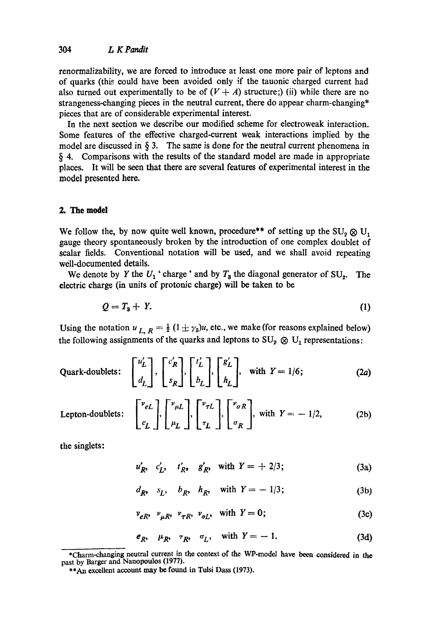renormalizability, we are forced to introduce at least one more pair of leptons and of quarks (this could have been avoided only if the tauonic charged current had also turned out experimentally to be of  $(V + A)$  structure;) (ii) while there are no strangeness-changing pieces in the neutral current, there do appear charm-changing\* pieces that are of considerable experimental interest.

In the next section we describe our modified scheme for electroweak interaction. Some features of the effective charged-current weak interactions implied by the model are discussed in  $\S$  3. The same is done for the neutral current phenomena in § 4. Comparisons with the results of the standard model are made in appropriate places. It will be seen that there are several features of experimental interest in the model presented here.

# **2. The model**

We follow the, by now quite well known, procedure\*\* of setting up the  $SU_2 \otimes U_1$ gauge theory spontaneously broken by the introduction of one complex doublet of scalar fields. Conventional notation will be used, and we shall avoid repeating well-documented details.

We denote by Y the  $U_1$  ' charge' and by  $T_3$  the diagonal generator of SU<sub>2</sub>. The electric charge (in units of protonic charge) will be taken to be

$$
Q = T_3 + Y. \tag{1}
$$

Using the notation  $u_{L, R} = \frac{1}{2} (1 \pm \gamma_5) u$ , etc., we make (for reasons explained below) the following assignments of the quarks and leptons to  $SU_2 \otimes U_1$  representations:

Quark-doublets: 
$$
\begin{bmatrix} u'_L \\ d_L \end{bmatrix}, \begin{bmatrix} c'_R \\ s_R \end{bmatrix}, \begin{bmatrix} t'_L \\ b_L \end{bmatrix}, \begin{bmatrix} g'_L \\ h_L \end{bmatrix}, \text{ with } Y = 1/6; \qquad (2a)
$$

Lepton-doublets:

$$
\begin{bmatrix} v_{eL} \\ e_L \end{bmatrix}, \begin{bmatrix} v_{\mu L} \\ \mu_L \end{bmatrix}, \begin{bmatrix} v_{\tau L} \\ \tau_L \end{bmatrix}, \begin{bmatrix} v_{\sigma R} \\ \sigma_R \end{bmatrix}, \text{ with } Y = -1/2,
$$
 (2b)

the singlets:

 $u'_R$ ,  $c'_L$ ,  $t'_R$ ,  $g'_R$ , with  $Y = +2/3$ ; (3a)

$$
d_{R}
$$
,  $s_L$ ,  $b_R$ ,  $h_R$ , with  $Y = -1/3$ ;\t\t(3b)

$$
v_{eR}, v_{\mu R}, v_{\tau R}, v_{\sigma L}, \text{ with } Y = 0; \tag{3c}
$$

$$
e_R, \quad \mu_R, \quad \tau_R, \quad \sigma_L, \quad \text{with } Y = -1. \tag{3d}
$$

<sup>\*</sup>Charm-changing neutral current in the context of the WP-model have been considered in **the**  past by Barger and Nanopoulos (1977).

<sup>\*\*</sup>An excellent account may be found in Tulsi Dass (1973).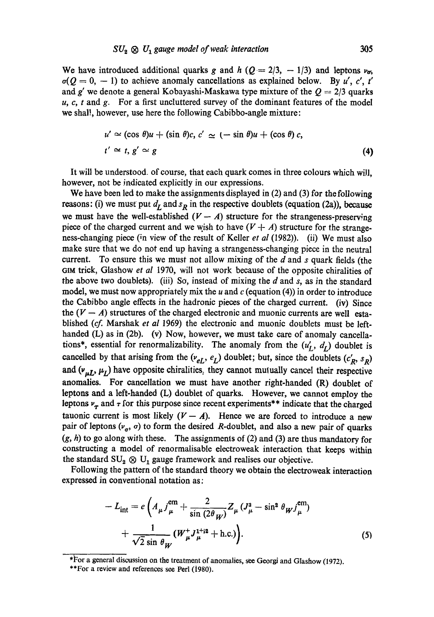We have introduced additional quarks g and h ( $Q = 2/3$ ,  $- 1/3$ ) and leptons  $\nu_{\sigma}$ ,  $\sigma(Q = 0, -1)$  to achieve anomaly cancellations as explained below. By u', c', t' and g' we denote a general Kobayashi-Maskawa type mixture of the  $Q = 2/3$  quarks  $u, c, t$  and g. For a first uncluttered survey of the dominant features of the model we shal!, however, use here the following Cabibbo-angle mixture:

$$
u' \simeq (\cos \theta)u + (\sin \theta)c, c' \simeq (-\sin \theta)u + (\cos \theta) c,
$$
  

$$
t' \simeq t, g' \simeq g
$$
 (4)

It will be understood, of course, that each quark comes in three colours which will, however, not be indicated explicitly in our expressions.

We have been led to make the assignments displayed in (2) and (3) for the following reasons: (i) we must put  $d<sub>L</sub>$  and  $s<sub>R</sub>$  in the respective doublets (equation (2a)), because we must have the well-established  $(V - A)$  structure for the strangeness-preserving piece of the charged current and we wish to have  $(V + A)$  structure for the strangeness-changing piece (in view of the result of Keller *et al* (1982)). (ii) We must also make sure that we do not end up having a strangeness-changing piece in the neutral current. To ensure this we must not allow mixing of the  $d$  and  $s$  quark fields (the GIM trick, Glashow *et al* 1970, will not work because of the opposite chiralities of the above two doublets). (iii) So, instead of mixing the d and *s,* as in the standard model, we must now appropriately mix the  $u$  and  $c$  (equation (4)) in order to introduce the Cabibbo angle effects in the hadronic pieces of the charged current. (iv) Since the  $(V - A)$  structures of the charged electronic and muonic currents are well established *(eft* Marshak *et al* 1969) the electronic and muonic doublets must be lefthanded (L) as in (2b). (v) Now, however, we must take care of anomaly cancellations\*, essential for renormalizability. The anomaly from the  $(u'_L, d_L)$  doublet is cancelled by that arising from the  $(v_{eL}, e_L)$  doublet; but, since the doublets  $(c'_R, s_R)$ and  $(v_{nI}, \mu_I)$  have opposite chiralities, they cannot mutually cancel their respective anomalies. For cancellation we must have another right-handed (R) doublet of leptons and a left-handed (L) doublet of quarks. However, we cannot employ the leptons  $v_{\tau}$  and  $\tau$  for this purpose since recent experiments\*\* indicate that the charged tauonic current is most likely  $(V - A)$ . Hence we are forced to introduce a new pair of leptons ( $v_a$ ,  $\sigma$ ) to form the desired R-doublet, and also a new pair of quarks  $(g, h)$  to go along with these. The assignments of (2) and (3) are thus mandatory for constructing a model of renormalisable electroweak interaction that keeps within the standard  $SU_2 \otimes U_1$  gauge framework and realises our objective.

Following the pattern of the standard theory we obtain the electroweak interaction expressed in conventional notation as:

$$
-L_{int} = e \left( A_{\mu} j_{\mu}^{em} + \frac{2}{\sin (2 \theta_{W})} Z_{\mu} (J_{\mu}^{3} - \sin^{2} \theta_{W} j_{\mu}^{em}) + \frac{1}{\sqrt{2} \sin \theta_{W}} (W_{\mu}^{+} J_{\mu}^{1+i2} + \text{h.c.}) \right).
$$
\n(5)

<sup>\*</sup>For a general discussion on the treatment of anomalies, see Georgi and Glashow (1972).

<sup>\*\*</sup>For a review and references see Perl (1980).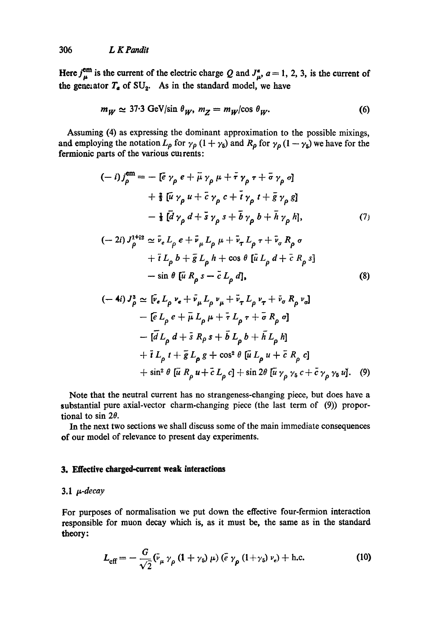Here  $j_{\mu}^{\text{em}}$  is the current of the electric charge Q and  $J_{\mu}^{*}$ ,  $a = 1, 2, 3$ , is the current of the generator  $T_a$  of  $SU_2$ . As in the standard model, we have

$$
m_W \simeq 37.3 \text{ GeV} / \sin \theta_W, \ m_Z = m_W / \cos \theta_W. \tag{6}
$$

Assuming (4) as expressing the dominant approximation to the possible mixings, and employing the notation  $L_{\rho}$  for  $\gamma_{\rho}$  (1 +  $\gamma_{5}$ ) and  $R_{\rho}$  for  $\gamma_{\rho}$  (1 -  $\gamma_{5}$ ) we have for the fermionic parts of the various currents:

$$
(-i) j_{\rho}^{\text{em}} = -\left[\bar{e} \gamma_{\rho} e + \bar{\mu} \gamma_{\rho} \mu + \bar{\tau} \gamma_{\rho} \tau + \bar{\sigma} \gamma_{\rho} \sigma\right] + \frac{2}{3} \left[\bar{u} \gamma_{\rho} u + \bar{c} \gamma_{\rho} c + \bar{t} \gamma_{\rho} t + \bar{g} \gamma_{\rho} g\right] - \frac{1}{3} \left[\bar{d} \gamma_{\rho} d + \bar{s} \gamma_{\rho} s + \bar{b} \gamma_{\rho} b + \bar{h} \gamma_{\rho} h\right],
$$
 (7)

$$
(-2i) J_{\rho}^{1+i2} \simeq \bar{\nu}_e L_{\rho} e + \bar{\nu}_{\mu} L_{\rho} \mu + \bar{\nu}_\tau L_{\rho} \tau + \bar{\nu}_\sigma R_{\rho} \sigma
$$
  
+  $\bar{\tau} L_{\rho} b + \bar{g} L_{\rho} h + \cos \theta \left[ \bar{u} L_{\rho} d + \bar{c} R_{\rho} s \right]$   
-  $\sin \theta \left[ \bar{u} R_{\rho} s - \bar{c} L_{\rho} d \right],$  (8)

$$
(-4i) J_{\rho}^{3} \simeq [\bar{\nu}_{e} L_{\rho} \nu_{e} + \bar{\nu}_{\mu} L_{\rho} \nu_{\mu} + \bar{\nu}_{\tau} L_{\rho} \nu_{\tau} + \bar{\nu}_{\sigma} R_{\rho} \nu_{\sigma}]
$$
  
\n
$$
- [\bar{e} L_{\rho} e + \bar{\mu} L_{\rho} \mu + \bar{\tau} L_{\rho} \tau + \bar{\sigma} R_{\rho} \sigma]
$$
  
\n
$$
- [\bar{d} L_{\rho} d + \bar{s} R_{\rho} s + \bar{b} L_{\rho} b + \bar{h} L_{\rho} h]
$$
  
\n
$$
+ \bar{t} L_{\rho} t + \bar{g} L_{\rho} g + \cos^{2} \theta [\bar{u} L_{\rho} u + \bar{c} R_{\rho} c]
$$
  
\n
$$
+ \sin^{2} \theta [\bar{u} R_{\rho} u + \bar{c} L_{\rho} c] + \sin 2\theta [\bar{u} \gamma_{\rho} \gamma_{5} c + \bar{c} \gamma_{\rho} \gamma_{5} u].
$$
 (9)

Note that the neutral current has no strangeness-changing piece, but does have a substantial pure axial-vector charm-changing piece (the last term of (9)) proportional to sin  $2\theta$ .

In the next two sections we shall discuss some of the main immediate consequences **of** our model of relevance to present day experiments.

#### **3. Effective charged-current weak interactions**

### 3.1 *p-decay*

For purposes of normalisation we put down the effective four-fermion interaction responsible for muon decay which is, as it must be, the same as in the standard theory:

$$
L_{\text{eff}} = -\frac{G}{\sqrt{2}} (\bar{\nu}_{\mu} \gamma_{\rho} (1 + \gamma_5) \mu) (\bar{e} \gamma_{\rho} (1 + \gamma_5) \nu_e) + \text{h.c.}
$$
 (10)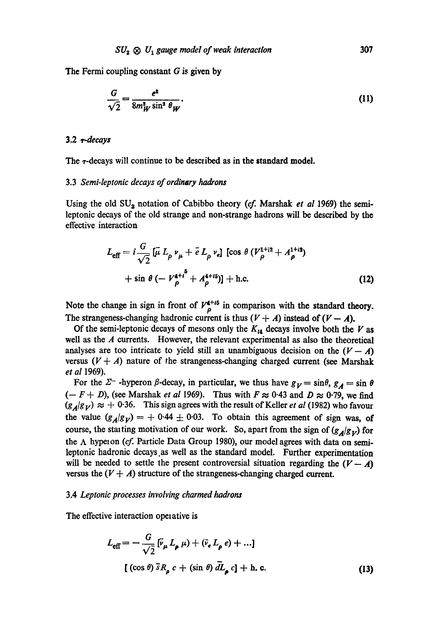The Fermi coupling constant G is given by

$$
\frac{G}{\sqrt{2}} = \frac{e^2}{8m_W^2 \sin^2 \theta_W}.
$$
\n(11)

#### 3.2 *~-decays*

The  $\tau$ -decays will continue to be described as in the standard model.

#### 3.3 *Semi-leptonic decays of ordinary hadrons*

Using the old SU<sub>3</sub> notation of Cabibbo theory (cf. Marshak *et al* 1969) the semileptonic decays of the old strange and non-strange hadrons will be described by the effective interaction

$$
L_{\text{eff}} = i \frac{G}{\sqrt{2}} \left[ \bar{\mu} L_{\rho} \nu_{\mu} + \bar{e} L_{\rho} \nu_{e} \right] \left[ \cos \theta \left( V_{\rho}^{1+i2} + A_{\rho}^{1+i2} \right) \right] + \sin \theta \left( - V_{\rho}^{4+i} + A_{\rho}^{4+i5} \right) \right] + \text{h.c.}
$$
 (12)

Note the change in sign in front of  $V_{\rho}^{4+i5}$  in comparison with the standard theory. The strangeness-changing hadronic current is thus  $(V + A)$  instead of  $(V - A)$ .

Of the semi-leptonic decays of mesons only the  $K_{14}$  decays involve both the V as well as the  $\Lambda$  currents. However, the relevant experimental as also the theoretical analyses are too intricate to yield still an unambiguous decision on the  $(V-A)$ versus  $(V + A)$  nature of the strangeness-changing charged current (see Marshak *et aI* 1969).

For the  $\Sigma^-$ -hyperon  $\beta$ -decay, in particular, we thus have  $g_V = \sin \theta$ ,  $g_A = \sin \theta$  $(- F + D)$ , (see Marshak *et al* 1969). Thus with  $F \approx 0.43$  and  $D \approx 0.79$ , we find  $(g_A/g_V) \approx +0.36$ . This sign agrees with the result of Keller *et al* (1982) who favour the value  $(g_A/g_V) = +0.44 \pm 0.03$ . To obtain this agreement of sign was, of course, the statting motivation of our work. So, apart from the sign of  $(g_A/g_V)$  for the  $\Lambda$  hyperon *(cf.* Particle Data Group 1980), our model agrees with data on semileptonic hadronic decays.as well as the standard model. Further experimentation will be needed to settle the present controversial situation regarding the  $(V-A)$ versus the  $(V + A)$  structure of the strangeness-changing charged current.

#### 3.4 *Leptonic processes involving charmed hadrons*

The effective interaction operative is

$$
L_{\text{eff}} = -\frac{G}{\sqrt{2}} \left[ \bar{\nu}_{\mu} L_{\rho} \mu \right] + \left( \bar{\nu}_{e} L_{\rho} e \right) + \dots
$$
  
[ (cos  $\theta$ )  $\bar{s} R_{\rho} c + (\sin \theta) \bar{d} L_{\rho} c$ ] + h. c. (13)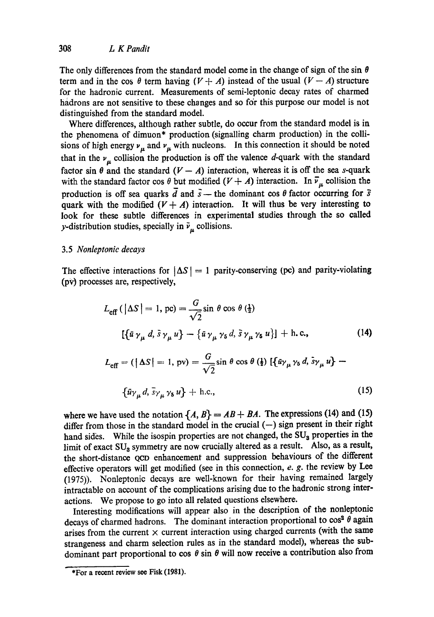The only differences from the standard model come in the change of sign of the sin  $\theta$ term and in the cos  $\theta$  term having  $(V + A)$  instead of the usual  $(V - A)$  structure for the hadronic current. Measurements of semi-leptonic decay rates of charmed hadrons are not sensitive to these changes and so for this purpose our model is not distinguished from the standard model.

Where differences, although rather subtle, do occur from the standard model is in the phenomena of dimuon\* production (signalling charm production) in the collisions of high energy  $\nu_{\mu}$  and  $\nu_{\mu}$  with nucleons. In this connection it should be noted that in the  $\nu_{\mu}$  collision the production is off the valence d-quark with the standard factor sin  $\theta$  and the standard  $(V - A)$  interaction, whereas it is off the sea s-quark with the standard factor cos  $\theta$  but modified  $(V + A)$  interaction. In  $\overline{v}_{\mu}$  collision the production is off sea quarks  $\overline{d}$  and  $\overline{s}$  – the dominant cos  $\theta$  factor occurring for  $\overline{s}$ quark with the modified  $(V + A)$  interaction. It will thus be very interesting to look for these subtle differences in experimental studies through the so called y-distribution studies, specially in  $\bar{v}_\mu$  collisions.

# 3.5 *Nonleptonic decays*

The effective interactions for  $|\Delta S| = 1$  parity-conserving (pc) and parity-violating (pv) processes are, respectively,

$$
L_{\text{eff}}\left(\left|\Delta S\right|=1,\,\text{pc}\right)=\frac{G}{\sqrt{2}}\sin\,\theta\cos\,\theta\left(\frac{1}{2}\right)
$$
\n
$$
\left[\left\{\bar{u}\,\gamma_{\mu}\,d,\,\bar{s}\,\gamma_{\mu}\,u\right\}-\left\{\bar{u}\,\gamma_{\mu}\,\gamma_{5}\,d,\,\bar{s}\,\gamma_{\mu}\,\gamma_{5}\,u\right\}\right]+\text{h.c.,}\tag{14}
$$

$$
L_{\text{eff}} = (\vert \Delta S \vert = 1, \text{pv}) = \frac{G}{\sqrt{2}} \sin \theta \cos \theta \left( \frac{1}{2} \right) \left[ \{ \bar{u} \gamma_{\mu} \gamma_{5} d, \bar{s} \gamma_{\mu} u \} - \right.
$$
  

$$
\{\bar{u} \gamma_{\mu} d, \bar{s} \gamma_{\mu} \gamma_{5} u \} + \text{h.c.,}
$$
 (15)

where we have used the notation  $\{A, B\} = AB + BA$ . The expressions (14) and (15) differ from those in the standard model in the crucial  $(-)$  sign present in their right hand sides. While the isospin properties are not changed, the SU<sub>3</sub> properties in the limit of exact  $SU<sub>3</sub>$  symmetry are now crucially altered as a result. Also, as a result, the short-distance QCD enhancement and suppression behaviours of the different effective operators will get modified (see in this connection, e. g. the review by Lee (1975)). Nonleptonic decays are well-known for their having remained largely intractable on account of the complications arising due to the hadronic strong interactions. We propose to go into all related questions elsewhere.

Interesting modifications will appear also in the description of the nonleptonic decays of charmed hadrons. The dominant interaction proportional to  $\cos^2 \theta$  again arises from the current  $\times$  current interaction using charged currents (with the same strangeness and charm selection rules as in the standard model), whereas the subdominant part proportional to cos  $\theta$  sin  $\theta$  will now receive a contribution also from

**<sup>\*</sup>For a recent review see Fisk (1981).**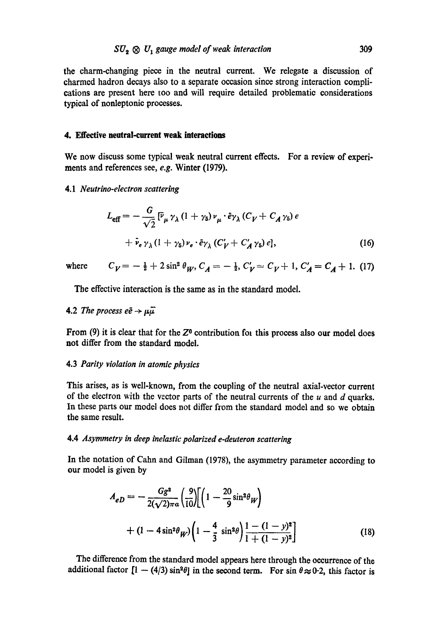the charm-changing piece in the neutral current. We relegate a discussion of charmed hadron decays also to a separate occasion since strong interaction complications are present here too and will require detailed problematic considerations typical of nonleptonic processes.

## **4. Effective neutral-current weak interactions**

We now discuss some typical weak neutral current effects. For a review of experiments and references see, *e.g.* Winter (1979).

#### 4.1 *Neutrino-electron scattering*

$$
L_{\text{eff}} = -\frac{G}{\sqrt{2}} \left[ \bar{\nu}_{\mu} \gamma_{\lambda} (1 + \gamma_{5}) \nu_{\mu} \cdot \tilde{e} \gamma_{\lambda} (C_{V} + C_{A} \gamma_{5}) e \right] + \bar{\nu}_{e} \gamma_{\lambda} (1 + \gamma_{5}) \nu_{e} \cdot \tilde{e} \gamma_{\lambda} (C'_{V} + C'_{A} \gamma_{5}) e], \qquad (16)
$$

where

$$
C_V = -\frac{1}{2} + 2\sin^2\theta_W, C_A = -\frac{1}{2}, C_V = C_V + 1, C_A' = C_A + 1.
$$
 (17)

The effective interaction is the same as in the standard model.

# 4.2 *The process*  $e\bar{e} \rightarrow \mu \bar{\mu}$

From (9) it is clear that for the  $Z<sup>0</sup>$  contribution for this process also our model does not differ from the standard model.

#### 4.3 *Parity violation in atomic physics*

This arises, as is well-known, from the coupling of the neutral axial-vector current of the electron with the vector parts of the neutral currents of the  $u$  and  $d$  quarks. In these parts our model does not differ from the standard model and so we obtain the same result.

## 4.4 *Asymmetry in deep inelastic polarized e-deuteron scattering*

In the notation of Cahn and Gilman (1978), the asymmetry parameter according to our model is given by

$$
A_{eD} = -\frac{Gg^2}{2(\sqrt{2})\pi a} \left(\frac{9}{10}\right) \left[ \left(1 - \frac{20}{9}\sin^2\theta_W\right) + (1 - 4\sin^2\theta_W) \left(1 - \frac{4}{3}\sin^2\theta\right) \frac{1 - (1 - y)^2}{1 + (1 - y)^2} \right]
$$
(18)

The difference from the standard model appears here through the occurrence of the additional factor  $[1 - (4/3) \sin^2 \theta]$  in the second term. For sin  $\theta \approx 0.2$ , this factor is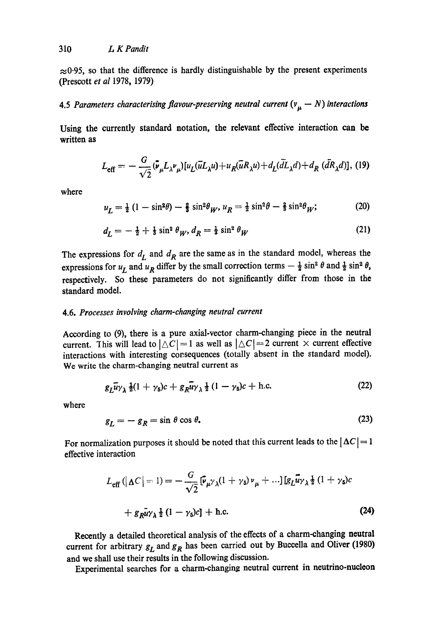$\approx 0.95$ , so that the difference is hardly distinguishable by the present experiments (Prescott *et al* 1978, 1979)

# 4.5 *Parameters characterising flavour-preserving neutral current*  $(v_u - N)$  interactions

Using the currently standard notation, the relevant effective interaction can be written as

$$
L_{\text{eff}} = -\frac{G}{\sqrt{2}} (\bar{\mathbf{\nu}}_{\mu} L_{\lambda} \mathbf{\nu}_{\mu}) [u_{L} (\bar{u} L_{\lambda} u) + u_{R} (\bar{u} R_{\lambda} u) + d_{L} (\bar{d} L_{\lambda} d) + d_{R} (\bar{d} R_{\lambda} d)], \text{ (19)}
$$

where

$$
u_L = \frac{1}{2} \left( 1 - \sin^2 \theta \right) - \frac{2}{3} \sin^2 \theta_W, u_R = \frac{1}{2} \sin^2 \theta - \frac{2}{3} \sin^2 \theta_W; \tag{20}
$$

$$
d_L = -\frac{1}{2} + \frac{1}{3}\sin^2\theta_W, d_R = \frac{1}{3}\sin^2\theta_W
$$
 (21)

The expressions for  $d_L$  and  $d_R$  are the same as in the standard model, whereas the expressions for  $u_L$  and  $u_R$  differ by the small correction terms  $-\frac{1}{2} \sin^2 \theta$  and  $\frac{1}{2} \sin^2 \theta$ , respectively. So these parameters do not significantly differ from those in the standard model.

# 4.6. *Processes involving charm-changing neutral current*

According to (9), there is a pure axial-vector charm-changing piece in the neutral current. This will lead to  $|\triangle C|=1$  as well as  $|\triangle C|=2$  current  $\times$  current effective interactions with interesting consequences (totally absent in the standard model). We write the charm-changing neutral current as

$$
g_L \bar{u} \gamma_\lambda \frac{1}{2} (1 + \gamma_5) c + g_R \bar{u} \gamma_\lambda \frac{1}{2} (1 - \gamma_5) c + \text{h.c.}
$$
 (22)

where

$$
g_L = -g_R = \sin \theta \cos \theta. \tag{23}
$$

For normalization purposes it should be noted that this current leads to the  $|\Delta C| = 1$ effective interaction

$$
L_{\text{eff}}\left(|\Delta C| = 1\right) = -\frac{G}{\sqrt{2}}\left[\bar{\nu}_{\mu}\gamma_{\lambda}(1+\gamma_{5})\nu_{\mu} + \ldots\right]\left[g_{L}\bar{u}\gamma_{\lambda}\frac{1}{2}(1+\gamma_{5})c\right] + g_{R}\bar{u}\gamma_{\lambda}\frac{1}{2}(1-\gamma_{5})c\right]
$$
\n
$$
(24)
$$

Recently a detailed theoretical analysis of the effects of a charm-changing neutral current for arbitrary  $g_L$  and  $g_R$  has been carried out by Buccella and Oliver (1980) and we shall use their results in the following discussion.

Experimental searches for a charm-changing neutral current in neutrino-nucleon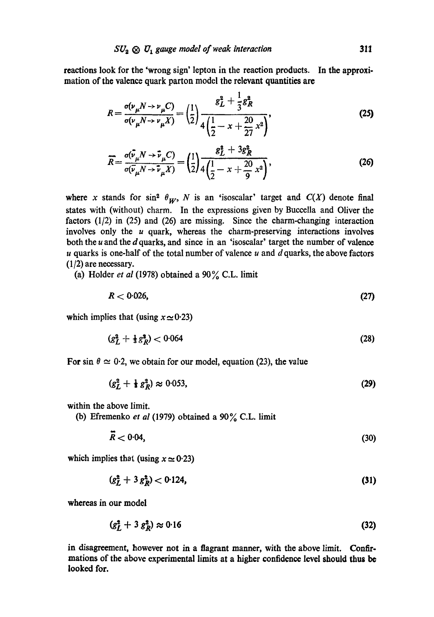reactions look for the 'wrong sign' lepton in the reaction products. In the approximation of the valence quark parton model the relevant quantities are

$$
R = \frac{\sigma(\nu_{\mu}N \to \nu_{\mu}C)}{\sigma(\nu_{\mu}N \to \nu_{\mu}X)} = \left(\frac{1}{2}\right) \frac{g_L^2 + \frac{1}{3}g_R^2}{4\left(\frac{1}{2} - x + \frac{20}{27}x^2\right)},
$$
(25)

$$
\overline{R} = \frac{\sigma(\overline{v}_{\mu}N \to \overline{v}_{\mu}C)}{\sigma(\overline{v}_{\mu}N \to \overline{v}_{\mu}X)} = \left(\frac{1}{2}\right) \frac{g_L^2 + 3g_R^2}{4\left(\frac{1}{2} - x + \frac{20}{9}x^2\right)},
$$
\n(26)

where x stands for sin<sup>2</sup>  $\theta_W$ , N is an 'isoscalar' target and  $C(X)$  denote final states with (without) charm. In the expressions given by Buccella and Oliver the factors  $(1/2)$  in  $(25)$  and  $(26)$  are missing. Since the charm-changing interaction involves only the  $u$  quark, whereas the charm-preserving interactions involves both the  $u$  and the  $d$  quarks, and since in an 'isoscalar' target the number of valence  $u$  quarks is one-half of the total number of valence  $u$  and  $d$  quarks, the above factors  $(1/2)$  are necessary.

(a) Holder *et al* (1978) obtained a  $90\%$  C.L. limit

$$
R<0.026,\tag{27}
$$

which implies that (using  $x \approx 0.23$ )

$$
(g_L^2 + \frac{1}{3}g_R^2) < 0.064\tag{28}
$$

For sin  $\theta \simeq 0.2$ , we obtain for our model, equation (23), the value

$$
(g_L^2 + \frac{1}{2} g_R^2) \approx 0.053,\tag{29}
$$

within the above limit.

(b) Efremenko et al (1979) obtained a 90% C.L. limit

$$
R < 0.04,\tag{30}
$$

which implies that (using  $x \approx 0.23$ )

$$
(g_L^2 + 3 g_R^2) < 0.124,\tag{31}
$$

whereas in our model

$$
(g_L^2 + 3 g_R^2) \approx 0.16 \tag{32}
$$

in disagreement, however not in a flagrant manner, with the above limit. Confirmations of the above experimental limits at a higher confidence level should thus be looked for.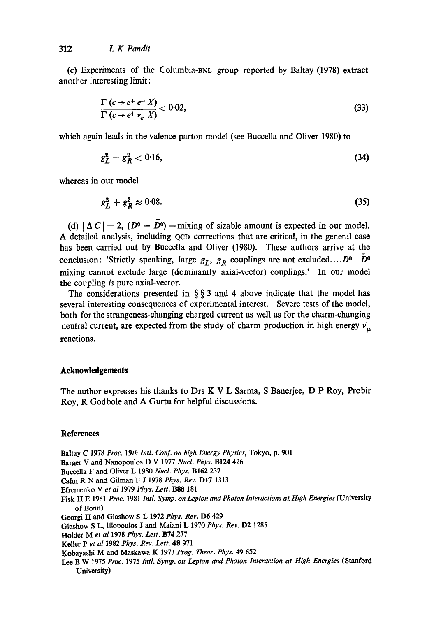(c) Experiments of the Columbia-nNL group reported by Baltay (1978) extract another interesting limit:

$$
\frac{\Gamma(c \to e^+ e^- X)}{\Gamma(c \to e^+ \nu_e X)} < 0.02, \tag{33}
$$

which again leads in the valence parton model (see Buccella and Oliver 1980) to

$$
g_L^2 + g_R^2 < 0.16,\tag{34}
$$

**whereas** in our model

$$
g_L^2 + g_R^2 \approx 0.08. \tag{35}
$$

(d)  $|\Delta C| = 2$ ,  $(D^0 - \overline{D}{}^0)$  — mixing of sizable amount is expected in our model. A detailed analysis, including QCD corrections that are critical, in the general case has been carried out by Buccella and Oliver (1980). These authors arrive at the conclusion: 'Strictly speaking, large  $g_L$ ,  $g_R$  couplings are not excluded.... $D^0$ - $\bar{D}^0$ mixing cannot exclude large (dominantly axial-vector) couplings.' In our model the coupling *is* pure axial-vector.

The considerations presented in  $\S$ § 3 and 4 above indicate that the model has several interesting consequences of experimental interest. Severe tests of the model, both for the strangeness-changing charged current as well as for the charm-changing neutral current, are expected from the study of charm production in high energy  $\bar{v}_u$ reactions.

# **Acknowledgements**

The author expresses his thanks to Drs K V L Sarma, S Banerjee, D P Roy, Probir Roy, R Godbole and A Gurtu for helpful discussions.

#### **References**

Baltay C 1978 *Proc. 19th Intl. Conf. on high Energy Physics,* Tokyo, p. 901 Barger V and Nanopoulos D V 1977 *Nucl. Phys.* B124 426

- Buccella F and Oliver L 1980 *Nucl. Phys.* B162 237
- Cahn R N and Gilman F J 1978 *Phys. Rev.* D17 1313
- Efremenko Vet *al* 1979 *Phys. Lett.* B88 181
- Fisk H E 1981 *Proc.* 1981 *Intl. Symp. on Lepton and Photon Interactions at High Energies* (University of Bonn)
- Georgi H and Glashow S L 1972 *Phys. Rev.* D6 429
- Glashow S L, Iliopoulos J and Maiani L 1970 *Phys. Rev.* D2 1285
- Holder M *et al* 1978 *Phys. Lett.* B74 277
- Keller P *et a11982 Phys. Rev. Lett.* 48 971
- Kobayashi M and Maskawa K 1973 *Prog. Theor. Phys.* 49 652
- Lee B W 1975 *Proc.* I975 *Intl. Syrup. on Lepton and Photon Interaction at High Energies* (Stanford **University)**